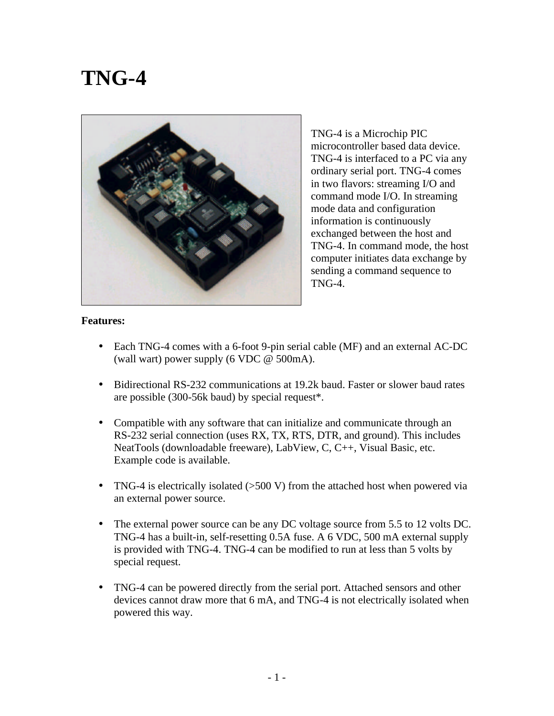## **TNG-4**



TNG-4 is a Microchip PIC microcontroller based data device. TNG-4 is interfaced to a PC via any ordinary serial port. TNG-4 comes in two flavors: streaming I/O and command mode I/O. In streaming mode data and configuration information is continuously exchanged between the host and TNG-4. In command mode, the host computer initiates data exchange by sending a command sequence to TNG-4.

## **Features:**

- Each TNG-4 comes with a 6-foot 9-pin serial cable (MF) and an external AC-DC (wall wart) power supply (6 VDC @ 500mA).
- Bidirectional RS-232 communications at 19.2k baud. Faster or slower baud rates are possible (300-56k baud) by special request\*.
- Compatible with any software that can initialize and communicate through an RS-232 serial connection (uses RX, TX, RTS, DTR, and ground). This includes NeatTools (downloadable freeware), LabView, C, C++, Visual Basic, etc. Example code is available.
- TNG-4 is electrically isolated (>500 V) from the attached host when powered via an external power source.
- The external power source can be any DC voltage source from 5.5 to 12 volts DC. TNG-4 has a built-in, self-resetting 0.5A fuse. A 6 VDC, 500 mA external supply is provided with TNG-4. TNG-4 can be modified to run at less than 5 volts by special request.
- TNG-4 can be powered directly from the serial port. Attached sensors and other devices cannot draw more that 6 mA, and TNG-4 is not electrically isolated when powered this way.